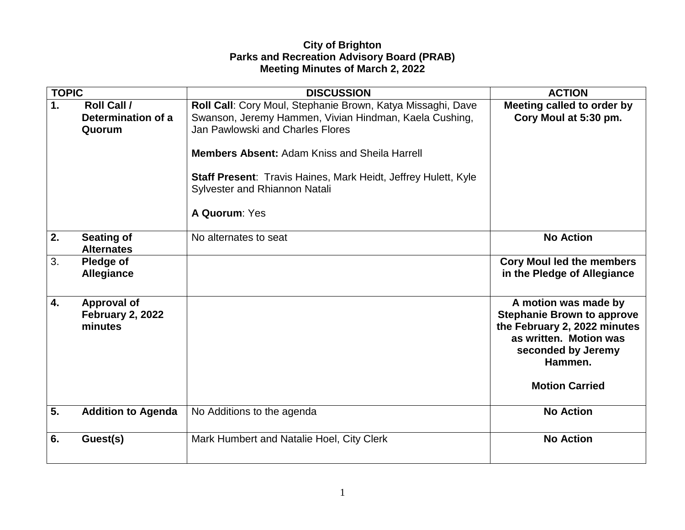## **City of Brighton Parks and Recreation Advisory Board (PRAB) Meeting Minutes of March 2, 2022**

| <b>TOPIC</b> |                                                    | <b>DISCUSSION</b>                                                                                                                                                                                                                                                                                                                            | <b>ACTION</b>                                                                                                                                                                 |
|--------------|----------------------------------------------------|----------------------------------------------------------------------------------------------------------------------------------------------------------------------------------------------------------------------------------------------------------------------------------------------------------------------------------------------|-------------------------------------------------------------------------------------------------------------------------------------------------------------------------------|
| 1.           | <b>Roll Call /</b><br>Determination of a<br>Quorum | Roll Call: Cory Moul, Stephanie Brown, Katya Missaghi, Dave<br>Swanson, Jeremy Hammen, Vivian Hindman, Kaela Cushing,<br>Jan Pawlowski and Charles Flores<br><b>Members Absent: Adam Kniss and Sheila Harrell</b><br><b>Staff Present: Travis Haines, Mark Heidt, Jeffrey Hulett, Kyle</b><br>Sylvester and Rhiannon Natali<br>A Quorum: Yes | Meeting called to order by<br>Cory Moul at 5:30 pm.                                                                                                                           |
| 2.           | <b>Seating of</b><br><b>Alternates</b>             | No alternates to seat                                                                                                                                                                                                                                                                                                                        | <b>No Action</b>                                                                                                                                                              |
| 3.           | Pledge of<br><b>Allegiance</b>                     |                                                                                                                                                                                                                                                                                                                                              | <b>Cory Moul led the members</b><br>in the Pledge of Allegiance                                                                                                               |
| 4.           | <b>Approval of</b><br>February 2, 2022<br>minutes  |                                                                                                                                                                                                                                                                                                                                              | A motion was made by<br><b>Stephanie Brown to approve</b><br>the February 2, 2022 minutes<br>as written. Motion was<br>seconded by Jeremy<br>Hammen.<br><b>Motion Carried</b> |
| 5.           | <b>Addition to Agenda</b>                          | No Additions to the agenda                                                                                                                                                                                                                                                                                                                   | <b>No Action</b>                                                                                                                                                              |
| 6.           | Guest(s)                                           | Mark Humbert and Natalie Hoel, City Clerk                                                                                                                                                                                                                                                                                                    | <b>No Action</b>                                                                                                                                                              |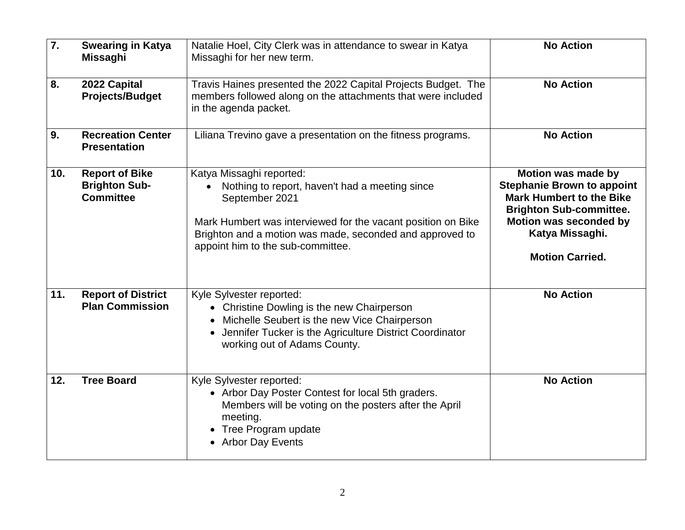| $\overline{7}$ . | <b>Swearing in Katya</b><br><b>Missaghi</b>                       | Natalie Hoel, City Clerk was in attendance to swear in Katya<br>Missaghi for her new term.                                                                                                                                                                    | <b>No Action</b>                                                                                                                                                                                    |
|------------------|-------------------------------------------------------------------|---------------------------------------------------------------------------------------------------------------------------------------------------------------------------------------------------------------------------------------------------------------|-----------------------------------------------------------------------------------------------------------------------------------------------------------------------------------------------------|
| 8.               | 2022 Capital<br><b>Projects/Budget</b>                            | Travis Haines presented the 2022 Capital Projects Budget. The<br>members followed along on the attachments that were included<br>in the agenda packet.                                                                                                        | <b>No Action</b>                                                                                                                                                                                    |
| 9.               | <b>Recreation Center</b><br><b>Presentation</b>                   | Liliana Trevino gave a presentation on the fitness programs.                                                                                                                                                                                                  | <b>No Action</b>                                                                                                                                                                                    |
| 10.              | <b>Report of Bike</b><br><b>Brighton Sub-</b><br><b>Committee</b> | Katya Missaghi reported:<br>Nothing to report, haven't had a meeting since<br>September 2021<br>Mark Humbert was interviewed for the vacant position on Bike<br>Brighton and a motion was made, seconded and approved to<br>appoint him to the sub-committee. | Motion was made by<br><b>Stephanie Brown to appoint</b><br><b>Mark Humbert to the Bike</b><br><b>Brighton Sub-committee.</b><br>Motion was seconded by<br>Katya Missaghi.<br><b>Motion Carried.</b> |
| 11.              | <b>Report of District</b><br><b>Plan Commission</b>               | Kyle Sylvester reported:<br>• Christine Dowling is the new Chairperson<br>• Michelle Seubert is the new Vice Chairperson<br>• Jennifer Tucker is the Agriculture District Coordinator<br>working out of Adams County.                                         | <b>No Action</b>                                                                                                                                                                                    |
| 12.              | <b>Tree Board</b>                                                 | Kyle Sylvester reported:<br>• Arbor Day Poster Contest for local 5th graders.<br>Members will be voting on the posters after the April<br>meeting.<br>• Tree Program update<br><b>Arbor Day Events</b>                                                        | <b>No Action</b>                                                                                                                                                                                    |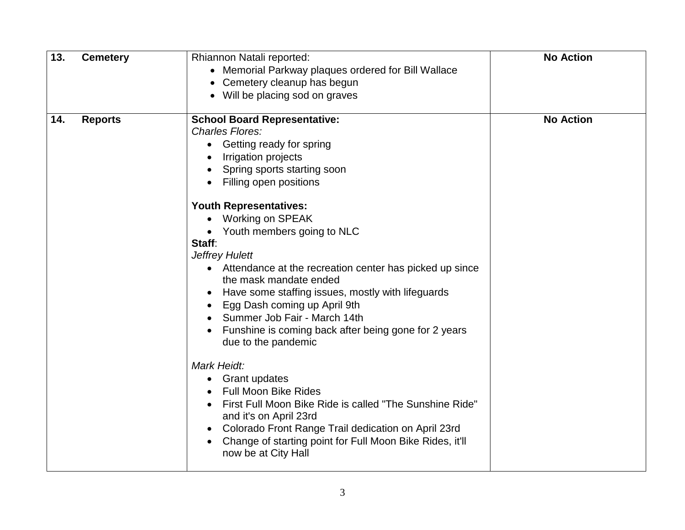| 13. | <b>Cemetery</b> | Rhiannon Natali reported:<br>• Memorial Parkway plaques ordered for Bill Wallace<br>Cemetery cleanup has begun<br>Will be placing sod on graves                                                                                                                                                                                                                                                                                                                                                                                                                                                                                                                                                                                                                                                                                                                                                          | <b>No Action</b> |
|-----|-----------------|----------------------------------------------------------------------------------------------------------------------------------------------------------------------------------------------------------------------------------------------------------------------------------------------------------------------------------------------------------------------------------------------------------------------------------------------------------------------------------------------------------------------------------------------------------------------------------------------------------------------------------------------------------------------------------------------------------------------------------------------------------------------------------------------------------------------------------------------------------------------------------------------------------|------------------|
| 14. | <b>Reports</b>  | <b>School Board Representative:</b><br><b>Charles Flores:</b><br>Getting ready for spring<br>Irrigation projects<br>Spring sports starting soon<br>Filling open positions<br><b>Youth Representatives:</b><br>Working on SPEAK<br>• Youth members going to NLC<br>Staff:<br><b>Jeffrey Hulett</b><br>• Attendance at the recreation center has picked up since<br>the mask mandate ended<br>Have some staffing issues, mostly with lifeguards<br>Egg Dash coming up April 9th<br>Summer Job Fair - March 14th<br>Funshine is coming back after being gone for 2 years<br>due to the pandemic<br><b>Mark Heidt:</b><br><b>Grant updates</b><br><b>Full Moon Bike Rides</b><br>First Full Moon Bike Ride is called "The Sunshine Ride"<br>and it's on April 23rd<br>Colorado Front Range Trail dedication on April 23rd<br>Change of starting point for Full Moon Bike Rides, it'll<br>now be at City Hall | <b>No Action</b> |